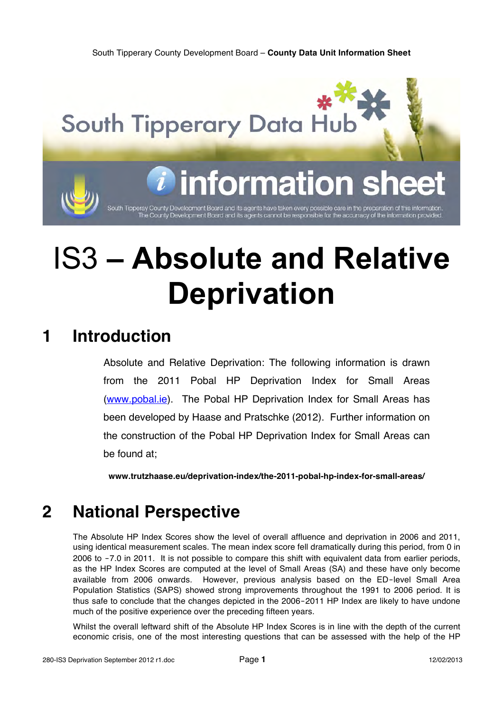

# IS3 **– Absolute and Relative Deprivation**

## **1 Introduction**

Absolute and Relative Deprivation: The following information is drawn from the 2011 Pobal HP Deprivation Index for Small Areas (www.pobal.ie). The Pobal HP Deprivation Index for Small Areas has been developed by Haase and Pratschke (2012). Further information on the construction of the Pobal HP Deprivation Index for Small Areas can be found at;

**www.trutzhaase.eu/deprivation-index/the-2011-pobal-hp-index-for-small-areas/**

# **2 National Perspective**

The Absolute HP Index Scores show the level of overall affluence and deprivation in 2006 and 2011, using identical measurement scales. The mean index score fell dramatically during this period, from 0 in 2006 to -7.0 in 2011. It is not possible to compare this shift with equivalent data from earlier periods, as the HP Index Scores are computed at the level of Small Areas (SA) and these have only become available from 2006 onwards. However, previous analysis based on the ED‐level Small Area Population Statistics (SAPS) showed strong improvements throughout the 1991 to 2006 period. It is thus safe to conclude that the changes depicted in the 2006‐2011 HP Index are likely to have undone much of the positive experience over the preceding fifteen years.

Whilst the overall leftward shift of the Absolute HP Index Scores is in line with the depth of the current economic crisis, one of the most interesting questions that can be assessed with the help of the HP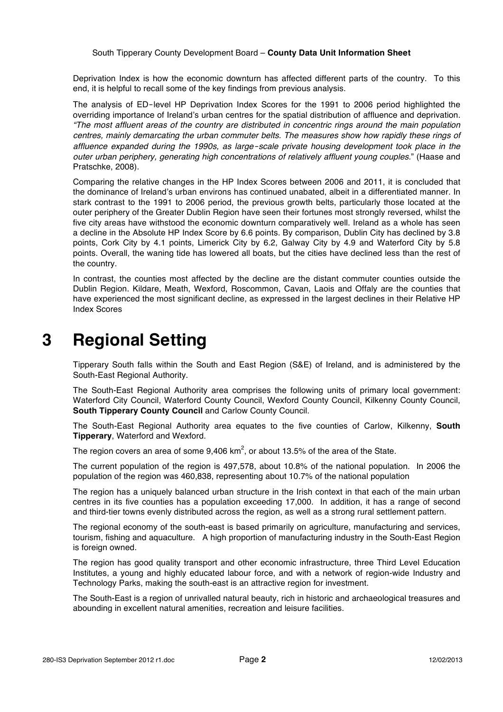Deprivation Index is how the economic downturn has affected different parts of the country. To this end, it is helpful to recall some of the key findings from previous analysis.

The analysis of ED‐level HP Deprivation Index Scores for the 1991 to 2006 period highlighted the overriding importance of Ireland's urban centres for the spatial distribution of affluence and deprivation. *"The most affluent areas of the country are distributed in concentric rings around the main population centres, mainly demarcating the urban commuter belts. The measures show how rapidly these rings of affluence expanded during the 1990s, as large*‐*scale private housing development took place in the outer urban periphery, generating high concentrations of relatively affluent young couples*." (Haase and Pratschke, 2008).

Comparing the relative changes in the HP Index Scores between 2006 and 2011, it is concluded that the dominance of Ireland's urban environs has continued unabated, albeit in a differentiated manner. In stark contrast to the 1991 to 2006 period, the previous growth belts, particularly those located at the outer periphery of the Greater Dublin Region have seen their fortunes most strongly reversed, whilst the five city areas have withstood the economic downturn comparatively well. Ireland as a whole has seen a decline in the Absolute HP Index Score by 6.6 points. By comparison, Dublin City has declined by 3.8 points, Cork City by 4.1 points, Limerick City by 6.2, Galway City by 4.9 and Waterford City by 5.8 points. Overall, the waning tide has lowered all boats, but the cities have declined less than the rest of the country.

In contrast, the counties most affected by the decline are the distant commuter counties outside the Dublin Region. Kildare, Meath, Wexford, Roscommon, Cavan, Laois and Offaly are the counties that have experienced the most significant decline, as expressed in the largest declines in their Relative HP Index Scores

# **3 Regional Setting**

Tipperary South falls within the South and East Region (S&E) of Ireland, and is administered by the South-East Regional Authority.

The South-East Regional Authority area comprises the following units of primary local government: Waterford City Council, Waterford County Council, Wexford County Council, Kilkenny County Council, **South Tipperary County Council** and Carlow County Council.

The South-East Regional Authority area equates to the five counties of Carlow, Kilkenny, **South Tipperary**, Waterford and Wexford.

The region covers an area of some  $9,406$  km<sup>2</sup>, or about 13.5% of the area of the State.

The current population of the region is 497,578, about 10.8% of the national population. In 2006 the population of the region was 460,838, representing about 10.7% of the national population

The region has a uniquely balanced urban structure in the Irish context in that each of the main urban centres in its five counties has a population exceeding 17,000. In addition, it has a range of second and third-tier towns evenly distributed across the region, as well as a strong rural settlement pattern.

The regional economy of the south-east is based primarily on agriculture, manufacturing and services, tourism, fishing and aquaculture. A high proportion of manufacturing industry in the South-East Region is foreign owned.

The region has good quality transport and other economic infrastructure, three Third Level Education Institutes, a young and highly educated labour force, and with a network of region-wide Industry and Technology Parks, making the south-east is an attractive region for investment.

The South-East is a region of unrivalled natural beauty, rich in historic and archaeological treasures and abounding in excellent natural amenities, recreation and leisure facilities.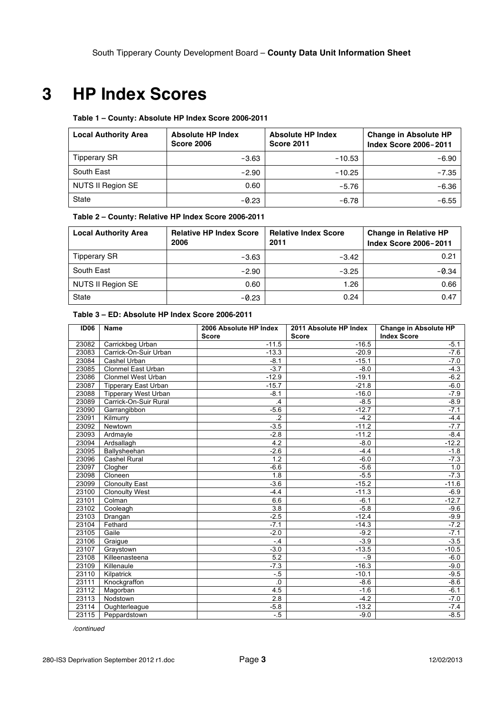# **3 HP Index Scores**

#### **Table 1 – County: Absolute HP Index Score 2006-2011**

| <b>Local Authority Area</b> | <b>Absolute HP Index</b><br><b>Absolute HP Index</b><br><b>Score 2006</b><br><b>Score 2011</b> |          | <b>Change in Absolute HP</b><br><b>Index Score 2006-2011</b> |  |
|-----------------------------|------------------------------------------------------------------------------------------------|----------|--------------------------------------------------------------|--|
| <b>Tipperary SR</b>         | $-3.63$                                                                                        | $-10.53$ | $-6.90$                                                      |  |
| South East                  | $-2.90$                                                                                        | $-10.25$ | $-7.35$                                                      |  |
| NUTS II Region SE           | 0.60                                                                                           | $-5.76$  | $-6.36$                                                      |  |
| <b>State</b>                | $-0.23$                                                                                        | $-6.78$  | $-6.55$                                                      |  |

#### **Table 2 – County: Relative HP Index Score 2006-2011**

| <b>Local Authority Area</b> | <b>Relative HP Index Score</b><br><b>Relative Index Score</b><br>2006<br>2011 |         | <b>Change in Relative HP</b><br><b>Index Score 2006-2011</b> |  |
|-----------------------------|-------------------------------------------------------------------------------|---------|--------------------------------------------------------------|--|
| <b>Tipperary SR</b>         | $-3.63$                                                                       | $-3.42$ | 0.21                                                         |  |
| South East                  | $-2.90$                                                                       | $-3.25$ | $-0.34$                                                      |  |
| NUTS II Region SE           | 0.60                                                                          | 1.26    | 0.66                                                         |  |
| State                       | $-0.23$                                                                       | 0.24    | 0.47                                                         |  |

#### **Table 3 – ED: Absolute HP Index Score 2006-2011**

| <b>ID06</b> | <b>Name</b>                 | 2006 Absolute HP Index<br><b>Score</b> | 2011 Absolute HP Index<br><b>Score</b> | <b>Change in Absolute HP</b><br><b>Index Score</b> |
|-------------|-----------------------------|----------------------------------------|----------------------------------------|----------------------------------------------------|
| 23082       | Carrickbeg Urban            | $-11.5$                                | $-16.5$                                | $-5.1$                                             |
| 23083       | Carrick-On-Suir Urban       | $-13.3$                                | $-20.9$                                | $-7.6$                                             |
| 23084       | Cashel Urban                | $-8.1$                                 | $-15.1$                                | $-7.0$                                             |
| 23085       | Clonmel East Urban          | $-3.7$                                 | $-8.0$                                 | $-4.3$                                             |
| 23086       | Clonmel West Urban          | $-12.9$                                | $-19.1$                                | $-6.2$                                             |
| 23087       | <b>Tipperary East Urban</b> | $-15.7$                                | $-21.8$                                | $-6.0$                                             |
| 23088       | <b>Tipperary West Urban</b> | $-8.1$                                 | $-16.0$                                | $-7.9$                                             |
| 23089       | Carrick-On-Suir Rural       | $\cdot$ 4                              | $-8.5$                                 | $-8.9$                                             |
| 23090       | Garrangibbon                | $-5.6$                                 | $-12.7$                                | $-7.1$                                             |
| 23091       | Kilmurry                    | $\overline{2}$                         | $-4.2$                                 | $-4.4$                                             |
| 23092       | Newtown                     | $-3.5$                                 | $-11.2$                                | $-7.7$                                             |
| 23093       | Ardmayle                    | $-2.8$                                 | $-11.2$                                | $-8.4$                                             |
| 23094       | Ardsallagh                  | 4.2                                    | $-8.0$                                 | $-12.2$                                            |
| 23095       | Ballysheehan                | $-2.6$                                 | $-4.4$                                 | $-1.8$                                             |
| 23096       | <b>Cashel Rural</b>         | 1.2                                    | $-6.0$                                 | $-7.3$                                             |
| 23097       | Clogher                     | $-6.6$                                 | $-5.6$                                 | 1.0                                                |
| 23098       | Cloneen                     | 1.8                                    | $-5.5$                                 | $-7.3$                                             |
| 23099       | <b>Clonoulty East</b>       | $-3.6$                                 | $-15.2$                                | $-11.6$                                            |
| 23100       | <b>Clonoulty West</b>       | $-4.4$                                 | $-11.3$                                | $-6.9$                                             |
| 23101       | $\overline{C}$ olman        | 6.6                                    | $-6.1$                                 | $-12.7$                                            |
| 23102       | Cooleagh                    | $\overline{3.8}$                       | $-5.8$                                 | $-9.6$                                             |
| 23103       | Drangan                     | $-2.5$                                 | $-12.4$                                | $-9.9$                                             |
| 23104       | Fethard                     | $-7.1$                                 | $-14.3$                                | $-7.2$                                             |
| 23105       | Gaile                       | $-2.0$                                 | $-9.2$                                 | $-7.1$                                             |
| 23106       | Graique                     | $-4$                                   | $-3.9$                                 | $-3.5$                                             |
| 23107       | Graystown                   | $-3.0$                                 | $-13.5$                                | $-10.5$                                            |
| 23108       | Killeenasteena              | $\overline{5.2}$                       | $-0.9$                                 | $-6.0$                                             |
| 23109       | Killenaule                  | $-7.3$                                 | $-16.3$                                | $-9.0$                                             |
| 23110       | Kilpatrick                  | $-.5$                                  | $-10.1$                                | $-9.5$                                             |
| 23111       | Knockgraffon                | .0                                     | $-8.6$                                 | $-8.6$                                             |
| 23112       | Magorban                    | 4.5                                    | $-1.6$                                 | $-6.1$                                             |
| 23113       | Nodstown                    | 2.8                                    | $-4.2$                                 | $-7.0$                                             |
| 23114       | Oughterleague               | $-5.8$                                 | $-13.2$                                | $-7.4$                                             |
| 23115       | Peppardstown                | $-.5$                                  | $-9.0$                                 | $-8.5$                                             |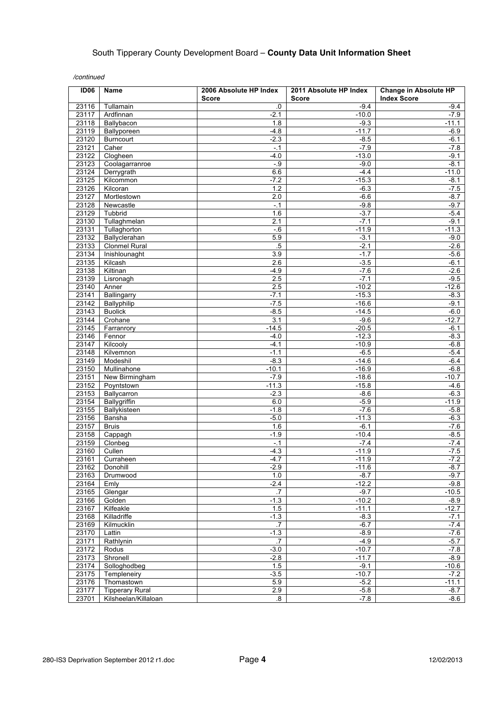| <b>ID06</b>    | <b>Name</b>              | 2006 Absolute HP Index<br><b>Score</b> | 2011 Absolute HP Index<br><b>Score</b> | <b>Change in Absolute HP</b><br><b>Index Score</b> |
|----------------|--------------------------|----------------------------------------|----------------------------------------|----------------------------------------------------|
| 23116          | Tullamain                | .0                                     | $-9.4$                                 | -9.4                                               |
| 23117          | Ardfinnan                | $-2.1$                                 | $-10.0$                                | $-7.9$                                             |
| 23118          | Ballybacon               | 1.8                                    | $-9.3$                                 | $-11.1$                                            |
| 23119          | Ballyporeen              | $-4.8$                                 | $-11.7$                                | $-6.9$                                             |
| 23120          | <b>Burncourt</b>         | $-2.3$                                 | $-8.5$                                 | $-6.1$                                             |
| 23121          | Caher                    | $-.1$                                  | $-7.9$                                 | $-7.8$                                             |
| 23122          | Clogheen                 | $-4.0$                                 | $-13.0$                                | $-9.1$                                             |
| 23123          | Coolagarranroe           | $-.9$                                  | $-9.0$                                 | $-8.1$                                             |
| 23124          | Derrygrath               | 6.6                                    | $-4.4$                                 | $-11.0$                                            |
| 23125          | Kilcommon                | $-7.2$                                 | $-15.3$                                | $-8.1$                                             |
| 23126<br>23127 | Kilcoran                 | 1.2                                    | $-6.3$                                 | $-7.5$<br>$-8.7$                                   |
| 23128          | Mortlestown<br>Newcastle | 2.0<br>$-.1$                           | $-6.6$<br>$-9.8$                       | $-9.7$                                             |
| 23129          | Tubbrid                  | 1.6                                    | $-3.7$                                 | $-5.4$                                             |
| 23130          | Tullaghmelan             | 2.1                                    | $-7.1$                                 | $-9.1$                                             |
| 23131          | Tullaghorton             | $-0.6$                                 | $-11.9$                                | $-11.3$                                            |
| 23132          | Ballyclerahan            | 5.9                                    | $-3.1$                                 | $-9.0$                                             |
| 23133          | <b>Clonmel Rural</b>     | $.5\,$                                 | $-2.1$                                 | $-2.6$                                             |
| 23134          | Inishlounaght            | 3.9                                    | $-1.7$                                 | $-5.6$                                             |
| 23135          | Kilcash                  | 2.6                                    | $-3.5$                                 | $-6.1$                                             |
| 23138          | Kiltinan                 | $-4.9$                                 | $-7.6$                                 | $-2.6$                                             |
| 23139          | Lisronagh                | 2.5                                    | $-7.1$                                 | $-9.5$                                             |
| 23140          | Anner                    | 2.5                                    | $-10.2$                                | $-12.6$                                            |
| 23141          | Ballingarry              | $-7.1$                                 | $-15.3$                                | $-8.3$                                             |
| 23142          | Ballyphilip              | $-7.5$                                 | $-16.6$                                | $-9.1$                                             |
| 23143          | <b>Buolick</b>           | $-8.5$                                 | $-14.5$                                | $-6.0$                                             |
| 23144          | Crohane                  | 3.1                                    | $-9.6$                                 | $-12.7$                                            |
| 23145<br>23146 | Farranrory               | $-14.5$<br>$-4.0$                      | $-20.5$<br>$-12.3$                     | $-6.1$<br>$-8.3$                                   |
| 23147          | Fennor<br>Kilcooly       | $-4.1$                                 | $-10.9$                                | $-6.8$                                             |
| 23148          | Kilvemnon                | $-1.1$                                 | $-6.5$                                 | $-5.4$                                             |
| 23149          | Modeshil                 | $-8.3$                                 | $-14.6$                                | $-6.4$                                             |
| 23150          | Mullinahone              | $-10.1$                                | $-16.9$                                | $-6.8$                                             |
| 23151          | New Birmingham           | $-7.9$                                 | $-18.6$                                | $-10.7$                                            |
| 23152          | Poyntstown               | $-11.3$                                | $-15.8$                                | $-4.6$                                             |
| 23153          | Ballycarron              | $-2.3$                                 | $-8.6$                                 | $-6.3$                                             |
| 23154          | Ballygriffin             | 6.0                                    | $-5.9$                                 | $-11.9$                                            |
| 23155          | Ballykisteen             | $-1.8$                                 | $-7.6$                                 | $-5.8$                                             |
| 23156          | Bansha                   | $-5.0$                                 | $-11.3$                                | $-6.3$                                             |
| 23157<br>23158 | <b>Bruis</b>             | 1.6<br>$-1.9$                          | $-6.1$<br>$-10.4$                      | $-7.6$                                             |
| 23159          | Cappagh<br>Clonbeg       | $-.1$                                  | $-7.4$                                 | $-8.5$<br>$-7.4$                                   |
| 23160          | Cullen                   | $-4.3$                                 | $-11.9$                                | $-7.5$                                             |
| 23161          | Curraheen                | $-4.7$                                 | $-11.9$                                | $-7.2$                                             |
| 23162          | Donohill                 | $-2.9$                                 | $-11.6$                                | $-8.7$                                             |
| 23163          | Drumwood                 | 1.0                                    | $-8.7$                                 | $-9.7$                                             |
| 23164          | Emly                     | $-2.4$                                 | $-12.2$                                | $-9.8$                                             |
| 23165          | Glengar                  | $\cdot$ 7                              | $-9.7$                                 | $-10.5$                                            |
| 23166          | Golden                   | $-1.3$                                 | $-10.2$                                | $-8.9$                                             |
| 23167          | Kilfeakle                | 1.5                                    | $-11.1$                                | $-12.7$                                            |
| 23168          | Killadriffe              | $-1.3$                                 | $-8.3$                                 | $-7.1$                                             |
| 23169          | Kilmucklin               | $\overline{.7}$                        | $-6.7$                                 | $-7.4$                                             |
| 23170          | Lattin                   | $-1.3$                                 | $-8.9$<br>$-4.9$                       | $-7.6$                                             |
| 23171<br>23172 | Rathlynin<br>Rodus       | .7<br>$-3.0$                           | $-10.7$                                | $-5.7$<br>$-7.8$                                   |
| 23173          | Shronell                 | $-2.8$                                 | $-11.7$                                | $-8.9$                                             |
| 23174          | Solloghodbeg             | 1.5                                    | $-9.1$                                 | $-10.6$                                            |
| 23175          | Templeneiry              | $-3.5$                                 | $-10.7$                                | $-7.2$                                             |
| 23176          | Thomastown               | 5.9                                    | $-5.2$                                 | $-11.1$                                            |
| 23177          | <b>Tipperary Rural</b>   | 2.9                                    | $-5.8$                                 | $-8.7$                                             |
| 23701          | Kilsheelan/Killaloan     | $\overline{\mathbf{8}}$                | $-7.8$                                 | $-8.6$                                             |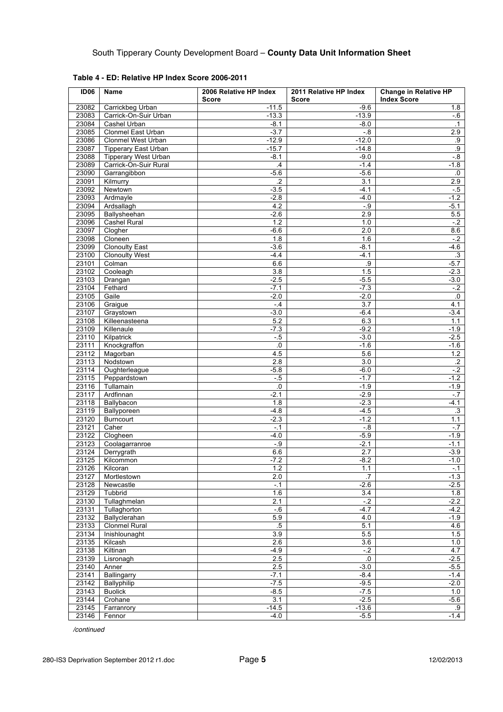| ID <sub>06</sub> | Name                        | 2006 Relative HP Index<br><b>Score</b> | 2011 Relative HP Index<br>Score | <b>Change in Relative HP</b><br><b>Index Score</b> |
|------------------|-----------------------------|----------------------------------------|---------------------------------|----------------------------------------------------|
| 23082            | Carrickbeg Urban            | $-11.5$                                | $-9.6$                          | 1.8                                                |
| 23083            | Carrick-On-Suir Urban       | $-13.3$                                | $-13.9$                         | -.6                                                |
| 23084            | Cashel Urban                | $-8.1$                                 | $-8.0$                          | $\cdot$ 1                                          |
| 23085            | Clonmel East Urban          | $-3.7$                                 | $-0.8$                          | 2.9                                                |
| 23086            | <b>Clonmel West Urban</b>   | $-12.9$                                | $-12.0$                         | .9                                                 |
| 23087            | <b>Tipperary East Urban</b> | $-15.7$                                | $-14.8$                         | .9                                                 |
| 23088            | <b>Tipperary West Urban</b> | $-8.1$                                 | $-9.0$                          | $-0.8$                                             |
| 23089            | Carrick-On-Suir Rural       | $\mathcal{A}$                          | $-1.4$                          | $-1.8$                                             |
| 23090            | Garrangibbon                | $-5.6$                                 | $-5.6$                          | .0                                                 |
| 23091            | Kilmurry                    | $\overline{2}$                         | 3.1                             | 2.9                                                |
| 23092            | Newtown                     | $-3.5$                                 | $-4.1$                          | $-5$                                               |
| 23093            | Ardmayle                    | $-2.8$                                 | $-4.0$                          | $-1.2$                                             |
| 23094            | Ardsallagh                  | 4.2                                    | $-.9$                           | $-5.1$                                             |
| 23095            | Ballysheehan                | $-2.6$                                 | 2.9                             | 5.5                                                |
| 23096            | Cashel Rural                | 1.2                                    | 1.0                             | $-2$                                               |
| 23097            | Clogher                     | $-6.6$                                 | 2.0                             | 8.6                                                |
| 23098            | Cloneen                     | 1.8                                    | 1.6                             | $-2$                                               |
| 23099            | <b>Clonoulty East</b>       | $-3.6$                                 | $-8.1$                          | $-4.6$                                             |
| 23100            | <b>Clonoulty West</b>       | $-4.4$                                 | $-4.1$                          | $\cdot$ 3                                          |
| 23101            | Colman                      | 6.6                                    | .9                              | $-5.7$                                             |
| 23102            | Cooleagh                    | $\overline{3.8}$                       | 1.5                             | $-2.3$                                             |
| 23103            | Drangan                     | $-2.5$                                 | $-5.5$                          | $-3.0$                                             |
| 23104            | Fethard                     | $-7.1$                                 | $-7.3$                          | $-2$                                               |
| 23105            | Gaile                       | $-2.0$                                 | $-2.0$                          | .0                                                 |
| 23106            | Graigue                     | $-4$                                   | $\overline{3.7}$                | 4.1                                                |
| 23107            | Graystown                   | $-3.0$                                 | $-6.4$                          | $-3.4$                                             |
| 23108            | Killeenasteena              | 5.2                                    | 6.3                             | 1.1                                                |
| 23109            | Killenaule                  | $-7.3$                                 | $-9.2$                          | $-1.9$                                             |
| 23110            | Kilpatrick                  | $-5$                                   | $-3.0$                          | $-2.5$                                             |
| 23111            | Knockgraffon                | .0                                     | $-1.6$                          | $-1.6$                                             |
| 23112            | Magorban                    | 4.5                                    | 5.6                             | 1.2                                                |
| 23113            | Nodstown                    | 2.8                                    | 3.0                             | $\cdot$                                            |
| 23114            | Oughterleague               | $-5.8$                                 | $-6.0$                          | $-2$                                               |
| 23115            | Peppardstown                | $-5$                                   | $-1.7$                          | $-1.2$                                             |
| 23116            | Tullamain                   | $\cdot$ 0                              | $-1.9$                          | $-1.9$                                             |
| 23117            | Ardfinnan                   | $-2.1$                                 | $-2.9$                          | $-.7$                                              |
| 23118            | Ballybacon                  | 1.8                                    | $-2.3$                          | $-4.1$                                             |
| 23119            | Ballyporeen                 | $-4.8$                                 | $-4.5$                          | $\cdot$ 3                                          |
| 23120            | <b>Burncourt</b>            | $-2.3$                                 | $-1.2$                          | 1.1                                                |
| 23121            | Caher                       | $-0.1$                                 | $-0.8$                          | $-7$                                               |
| 23122            | Clogheen                    | $-4.0$                                 | $-5.9$                          | $-1.9$                                             |
| 23123            | Coolagarranroe              | $-9$                                   | $-2.1$                          | $-1.1$                                             |
| 23124            | Derrygrath                  | 6.6                                    | 2.7                             | $-3.9$                                             |
| 23125            | Kilcommon                   | $-7.2$                                 | $-8.2$                          | $-1.0$                                             |
| 23126            | Kilcoran                    | 1.2                                    | 1.1                             | $-.1$                                              |
| 23127            | Mortlestown                 | 2.0                                    | .7                              | $-1.3$                                             |
| 23128            | Newcastle                   | $-1$                                   | $-2.6$                          | $-2.5$                                             |
| 23129            | Tubbrid                     | 1.6                                    | 3.4                             | 1.8                                                |
| 23130            | Tullaghmelan                | 2.1                                    | $-2$                            | $-2.2$                                             |
| 23131            | Tullaghorton                | $-6$                                   | $-4.7$                          | $-4.2$                                             |
| 23132            | Ballyclerahan               | 5.9                                    | 4.0                             | $-1.9$                                             |
| 23133            | Clonmel Rural               | $5\,$                                  | 5.1                             | 4.6                                                |
| 23134            | Inishlounaght               | 3.9                                    | 5.5                             | 1.5                                                |
| 23135            | Kilcash                     | 2.6                                    | 3.6                             | 1.0                                                |
| 23138            | Kiltinan                    | $-4.9$                                 | $-2$                            | 4.7                                                |
| 23139            | Lisronagh                   | 2.5                                    | ${\bf 0}.$                      | $-2.5$                                             |
| 23140            | Anner                       | 2.5                                    | $-3.0$                          | $-5.5$                                             |
| 23141            | Ballingarry                 | $-7.1$                                 | $-8.4$                          | $-1.4$                                             |
| 23142            | Ballyphilip                 | $-7.5$                                 | $-9.5$                          | $-2.0$                                             |
| 23143            | <b>Buolick</b>              | $-8.5$                                 | $-7.5$                          | 1.0                                                |
| 23144            | Crohane                     | 3.1                                    | $-2.5$                          | $-5.6$                                             |
| 23145            | Farranrory                  | $-14.5$                                | $-13.6$                         | .9                                                 |
| 23146            | Fennor                      | $-4.0$                                 | $-5.5$                          | $-1.4$                                             |

**Table 4 - ED: Relative HP Index Score 2006-2011**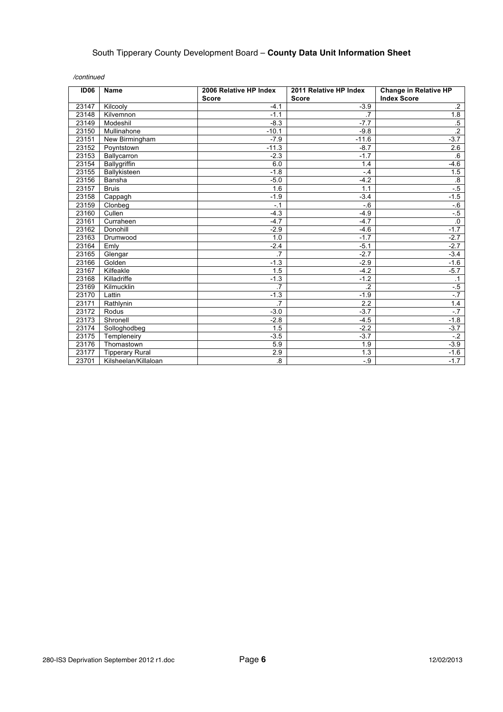| <b>ID06</b> | Name                   | 2006 Relative HP Index | 2011 Relative HP Index | <b>Change in Relative HP</b> |
|-------------|------------------------|------------------------|------------------------|------------------------------|
|             |                        | <b>Score</b>           | <b>Score</b>           | <b>Index Score</b>           |
| 23147       | Kilcooly               | $-4.1$                 | $-3.9$                 | $\cdot$                      |
| 23148       | Kilvemnon              | $-1.1$                 | $\overline{7}$         | 1.8                          |
| 23149       | Modeshil               | $-8.3$                 | $-7.7$                 | $.5\,$                       |
| 23150       | Mullinahone            | $-10.1$                | $-9.8$                 | $\overline{2}$               |
| 23151       | New Birmingham         | $-7.9$                 | $-11.6$                | $-3.7$                       |
| 23152       | Poyntstown             | $-11.3$                | $-8.7$                 | 2.6                          |
| 23153       | Ballycarron            | $-2.3$                 | $-1.7$                 | $6 \,$                       |
| 23154       | Ballygriffin           | 6.0                    | 1.4                    | -4.6                         |
| 23155       | Ballykisteen           | $-1.8$                 | $-4$                   | 1.5                          |
| 23156       | Bansha                 | $-5.0$                 | $-4.2$                 | .8                           |
| 23157       | <b>Bruis</b>           | 1.6                    | 1.1                    | $-5$                         |
| 23158       | Cappagh                | $-1.9$                 | $-3.4$                 | $-1.5$                       |
| 23159       | Clonbeg                | $-1$                   | $-6$                   | $-6$                         |
| 23160       | Cullen                 | $-4.3$                 | $-4.9$                 | $-5$                         |
| 23161       | Curraheen              | $-4.7$                 | $-4.7$                 | $\overline{0}$               |
| 23162       | Donohill               | $-2.9$                 | $-4.6$                 | $-1.7$                       |
| 23163       | Drumwood               | 1.0                    | $-1.7$                 | $-2.7$                       |
| 23164       | Emly                   | $-2.4$                 | $-5.1$                 | $-2.7$                       |
| 23165       | Glengar                | $\overline{.7}$        | $-2.7$                 | $-3.4$                       |
| 23166       | Golden                 | $-1.3$                 | $-2.9$                 | $-1.6$                       |
| 23167       | Kilfeakle              | 1.5                    | $-4.2$                 | $-5.7$                       |
| 23168       | Killadriffe            | $-1.3$                 | $-1.2$                 | $\cdot$ 1                    |
| 23169       | Kilmucklin             | $\overline{.7}$        | $\overline{2}$         | $-5$                         |
| 23170       | Lattin                 | $-1.3$                 | $-1.9$                 | $-7$                         |
| 23171       | Rathlynin              | $\overline{.7}$        | 2.2                    | 1.4                          |
| 23172       | Rodus                  | $-3.0$                 | $-3.7$                 | $-.7$                        |
| 23173       | Shronell               | $-2.8$                 | $-4.5$                 | $-1.8$                       |
| 23174       | Solloghodbeg           | 1.5                    | $-2.2$                 | $-3.7$                       |
| 23175       | Templeneiry            | $-3.5$                 | $-3.7$                 | $-2$                         |
| 23176       | Thomastown             | 5.9                    | 1.9                    | $-3.9$                       |
| 23177       | <b>Tipperary Rural</b> | 2.9                    | 1.3                    | $-1.6$                       |
| 23701       | Kilsheelan/Killaloan   | $\overline{8}$         | $-9$                   | $-1.7$                       |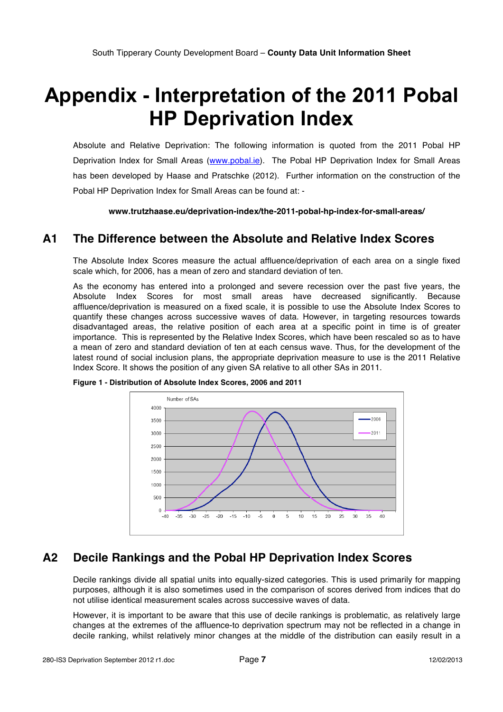# **Appendix - Interpretation of the 2011 Pobal HP Deprivation Index**

Absolute and Relative Deprivation: The following information is quoted from the 2011 Pobal HP Deprivation Index for Small Areas (www.pobal.ie). The Pobal HP Deprivation Index for Small Areas has been developed by Haase and Pratschke (2012). Further information on the construction of the Pobal HP Deprivation Index for Small Areas can be found at: -

**www.trutzhaase.eu/deprivation-index/the-2011-pobal-hp-index-for-small-areas/**

### **A1 The Difference between the Absolute and Relative Index Scores**

The Absolute Index Scores measure the actual affluence/deprivation of each area on a single fixed scale which, for 2006, has a mean of zero and standard deviation of ten.

As the economy has entered into a prolonged and severe recession over the past five years, the Absolute Index Scores for most small areas have decreased significantly. Because affluence/deprivation is measured on a fixed scale, it is possible to use the Absolute Index Scores to quantify these changes across successive waves of data. However, in targeting resources towards disadvantaged areas, the relative position of each area at a specific point in time is of greater importance. This is represented by the Relative Index Scores, which have been rescaled so as to have a mean of zero and standard deviation of ten at each census wave. Thus, for the development of the latest round of social inclusion plans, the appropriate deprivation measure to use is the 2011 Relative Index Score. It shows the position of any given SA relative to all other SAs in 2011.



**Figure 1 - Distribution of Absolute Index Scores, 2006 and 2011**

### **A2 Decile Rankings and the Pobal HP Deprivation Index Scores**

Decile rankings divide all spatial units into equally-sized categories. This is used primarily for mapping purposes, although it is also sometimes used in the comparison of scores derived from indices that do not utilise identical measurement scales across successive waves of data.

However, it is important to be aware that this use of decile rankings is problematic, as relatively large changes at the extremes of the affluence‐to deprivation spectrum may not be reflected in a change in decile ranking, whilst relatively minor changes at the middle of the distribution can easily result in a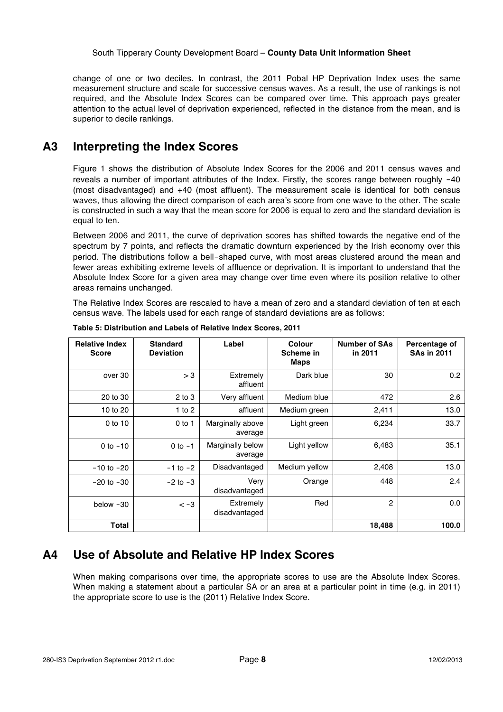change of one or two deciles. In contrast, the 2011 Pobal HP Deprivation Index uses the same measurement structure and scale for successive census waves. As a result, the use of rankings is not required, and the Absolute Index Scores can be compared over time. This approach pays greater attention to the actual level of deprivation experienced, reflected in the distance from the mean, and is superior to decile rankings.

### **A3 Interpreting the Index Scores**

Figure 1 shows the distribution of Absolute Index Scores for the 2006 and 2011 census waves and reveals a number of important attributes of the Index. Firstly, the scores range between roughly -40 (most disadvantaged) and +40 (most affluent). The measurement scale is identical for both census waves, thus allowing the direct comparison of each area's score from one wave to the other. The scale is constructed in such a way that the mean score for 2006 is equal to zero and the standard deviation is equal to ten.

Between 2006 and 2011, the curve of deprivation scores has shifted towards the negative end of the spectrum by 7 points, and reflects the dramatic downturn experienced by the Irish economy over this period. The distributions follow a bell‐shaped curve, with most areas clustered around the mean and fewer areas exhibiting extreme levels of affluence or deprivation. It is important to understand that the Absolute Index Score for a given area may change over time even where its position relative to other areas remains unchanged.

The Relative Index Scores are rescaled to have a mean of zero and a standard deviation of ten at each census wave. The labels used for each range of standard deviations are as follows:

| <b>Relative Index</b><br><b>Score</b> | <b>Standard</b><br><b>Deviation</b> | Label                       | <b>Colour</b><br>Scheme in<br><b>Maps</b> | <b>Number of SAs</b><br>in 2011 | Percentage of<br><b>SAs in 2011</b> |
|---------------------------------------|-------------------------------------|-----------------------------|-------------------------------------------|---------------------------------|-------------------------------------|
| over 30                               | > 3                                 | Extremely<br>affluent       | Dark blue                                 | 30                              | 0.2                                 |
| 20 to 30                              | $2$ to $3$                          | Very affluent               | Medium blue                               | 472                             | 2.6                                 |
| 10 to 20                              | 1 to $2$                            | affluent                    | Medium green                              | 2,411                           | 13.0                                |
| 0 to 10                               | $0$ to 1                            | Marginally above<br>average | Light green                               | 6,234                           | 33.7                                |
| 0 to $-10$                            | $0$ to $-1$                         | Marginally below<br>average | Light yellow                              | 6,483                           | 35.1                                |
| $-10$ to $-20$                        | $-1$ to $-2$                        | Disadvantaged               | Medium yellow                             | 2,408                           | 13.0                                |
| $-20$ to $-30$                        | $-2$ to $-3$                        | Very<br>disadvantaged       | Orange                                    | 448                             | 2.4                                 |
| below -30                             | $<-3$                               | Extremely<br>disadvantaged  | Red                                       | 2                               | 0.0                                 |
| Total                                 |                                     |                             |                                           | 18,488                          | 100.0                               |

**Table 5: Distribution and Labels of Relative Index Scores, 2011**

### **A4 Use of Absolute and Relative HP Index Scores**

When making comparisons over time, the appropriate scores to use are the Absolute Index Scores. When making a statement about a particular SA or an area at a particular point in time (e.g. in 2011) the appropriate score to use is the (2011) Relative Index Score.